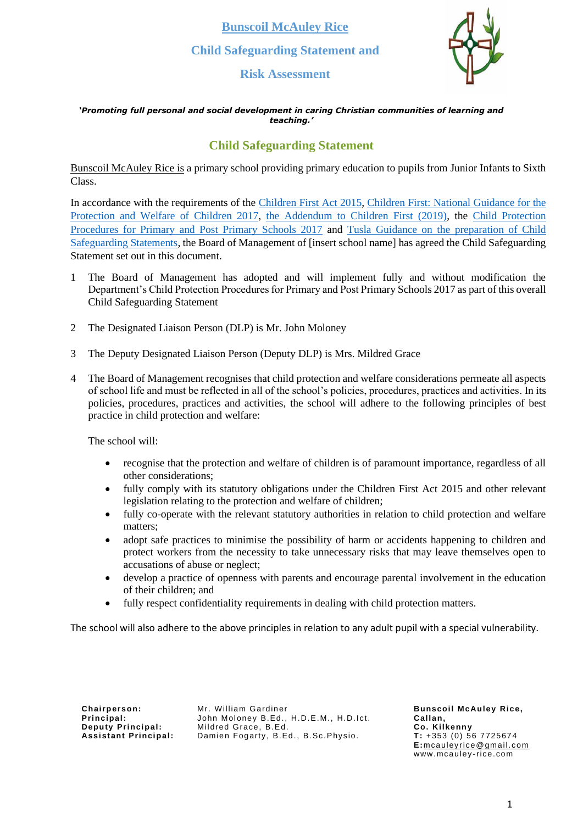**Risk Assessment**



#### *'Promoting full personal and social development in caring Christian communities of learning and teaching.'*

## **Child Safeguarding Statement**

Bunscoil McAuley Rice is a primary school providing primary education to pupils from Junior Infants to Sixth Class.

In accordance with the requirements of the [Children First Act 2015,](http://www.irishstatutebook.ie/eli/2015/act/36/enacted/en/pdf) [Children First: National Guidance for the](https://assets.gov.ie/25844/b90aafa55804462f84d05f87f0ca2bf6.pdf)  [Protection and Welfare of Children 2017,](https://assets.gov.ie/25844/b90aafa55804462f84d05f87f0ca2bf6.pdf) [the Addendum to Children First \(2019\),](https://assets.gov.ie/25819/c9744b64dfd6447985eeffa5c0d71bbb.pdf) the [Child Protection](https://www.gov.ie/pdf/?file=https://assets.gov.ie/45063/2d4b5b3d781e4ec1ab4f3e5d198717d9.pdf#page=1)  [Procedures for Primary and Post Primary Schools 2017](https://www.gov.ie/pdf/?file=https://assets.gov.ie/45063/2d4b5b3d781e4ec1ab4f3e5d198717d9.pdf#page=1) and [Tusla Guidance on the preparation of Child](https://www.tusla.ie/uploads/content/4214-TUSLA_Guidance_on_Developing_a_CSS_LR.PDF)  [Safeguarding Statements,](https://www.tusla.ie/uploads/content/4214-TUSLA_Guidance_on_Developing_a_CSS_LR.PDF) the Board of Management of [insert school name] has agreed the Child Safeguarding Statement set out in this document.

- 1 The Board of Management has adopted and will implement fully and without modification the Department's Child Protection Procedures for Primary and Post Primary Schools 2017 as part of this overall Child Safeguarding Statement
- 2 The Designated Liaison Person (DLP) is Mr. John Moloney
- 3 The Deputy Designated Liaison Person (Deputy DLP) is Mrs. Mildred Grace
- 4 The Board of Management recognises that child protection and welfare considerations permeate all aspects of school life and must be reflected in all of the school's policies, procedures, practices and activities. In its policies, procedures, practices and activities, the school will adhere to the following principles of best practice in child protection and welfare:

The school will:

- recognise that the protection and welfare of children is of paramount importance, regardless of all other considerations;
- fully comply with its statutory obligations under the Children First Act 2015 and other relevant legislation relating to the protection and welfare of children;
- fully co-operate with the relevant statutory authorities in relation to child protection and welfare matters;
- adopt safe practices to minimise the possibility of harm or accidents happening to children and protect workers from the necessity to take unnecessary risks that may leave themselves open to accusations of abuse or neglect;
- develop a practice of openness with parents and encourage parental involvement in the education of their children; and
- fully respect confidentiality requirements in dealing with child protection matters.

The school will also adhere to the above principles in relation to any adult pupil with a special vulnerability.

**Chairperson: Principal: Deputy Principal: Assi stant Principal:** Mr. William Gardiner John Moloney B.Ed., H.D.E.M., H.D.Ict. Mildred Grace, B.Ed. Damien Fogarty, B.Ed., B.Sc.Physio.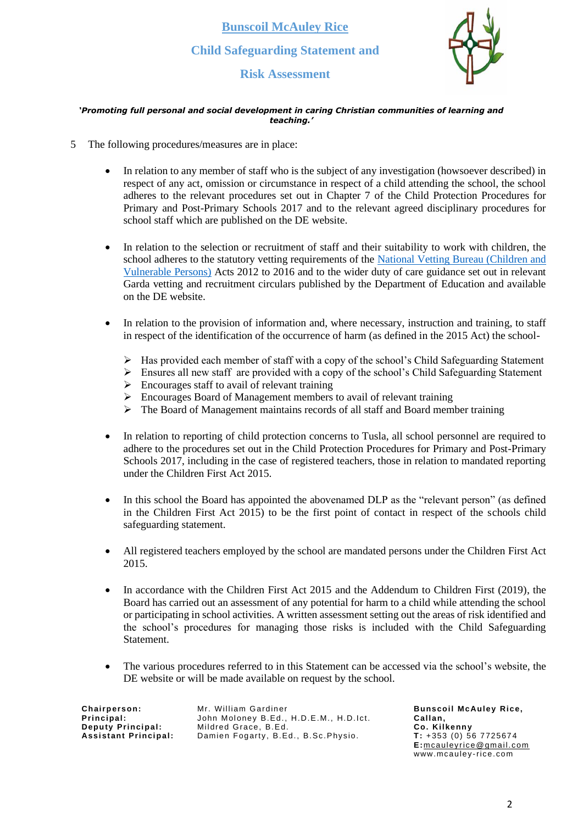**Risk Assessment**



#### *'Promoting full personal and social development in caring Christian communities of learning and teaching.'*

- 5 The following procedures/measures are in place:
	- In relation to any member of staff who is the subject of any investigation (howsoever described) in respect of any act, omission or circumstance in respect of a child attending the school, the school adheres to the relevant procedures set out in Chapter 7 of the Child Protection Procedures for Primary and Post-Primary Schools 2017 and to the relevant agreed disciplinary procedures for school staff which are published on the DE website.
	- In relation to the selection or recruitment of staff and their suitability to work with children, the school adheres to the statutory vetting requirements of the [National Vetting Bureau \(Children and](https://revisedacts.lawreform.ie/eli/2012/act/47/revised/en/pdf)  [Vulnerable Persons\)](https://revisedacts.lawreform.ie/eli/2012/act/47/revised/en/pdf) Acts 2012 to 2016 and to the wider duty of care guidance set out in relevant Garda vetting and recruitment circulars published by the Department of Education and available on the DE website.
	- In relation to the provision of information and, where necessary, instruction and training, to staff in respect of the identification of the occurrence of harm (as defined in the 2015 Act) the school-
		- ➢ Has provided each member of staff with a copy of the school's Child Safeguarding Statement
		- $\triangleright$  Ensures all new staff are provided with a copy of the school's Child Safeguarding Statement
		- ➢ Encourages staff to avail of relevant training
		- ➢ Encourages Board of Management members to avail of relevant training
		- $\triangleright$  The Board of Management maintains records of all staff and Board member training
	- In relation to reporting of child protection concerns to Tusla, all school personnel are required to adhere to the procedures set out in the Child Protection Procedures for Primary and Post-Primary Schools 2017, including in the case of registered teachers, those in relation to mandated reporting under the Children First Act 2015.
	- In this school the Board has appointed the abovenamed DLP as the "relevant person" (as defined in the Children First Act 2015) to be the first point of contact in respect of the schools child safeguarding statement.
	- All registered teachers employed by the school are mandated persons under the Children First Act 2015.
	- In accordance with the Children First Act 2015 and the Addendum to Children First (2019), the Board has carried out an assessment of any potential for harm to a child while attending the school or participating in school activities. A written assessment setting out the areas of risk identified and the school's procedures for managing those risks is included with the Child Safeguarding Statement.
	- The various procedures referred to in this Statement can be accessed via the school's website, the DE website or will be made available on request by the school.

**Chairperson: Principal: Deputy Principal: Assi stant Principal:** Mr. William Gardiner John Moloney B.Ed., H.D.E.M., H.D.Ict. Mildred Grace, B.Ed. Damien Fogarty, B.Ed., B.Sc.Physio.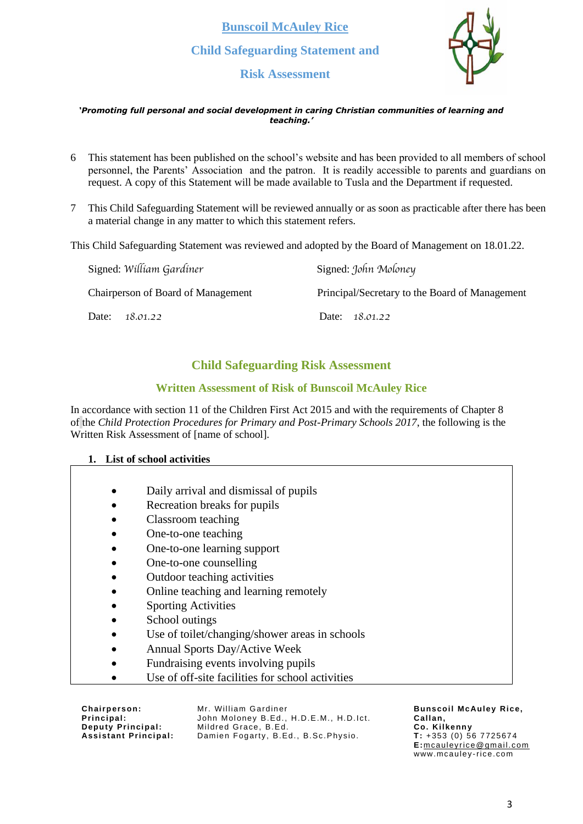**Risk Assessment**



#### *'Promoting full personal and social development in caring Christian communities of learning and teaching.'*

- 6 This statement has been published on the school's website and has been provided to all members of school personnel, the Parents' Association and the patron. It is readily accessible to parents and guardians on request. A copy of this Statement will be made available to Tusla and the Department if requested.
- 7 This Child Safeguarding Statement will be reviewed annually or as soon as practicable after there has been a material change in any matter to which this statement refers.

This Child Safeguarding Statement was reviewed and adopted by the Board of Management on 18.01.22.

| Signed: William Gardiner                  | Signed: John Moloney                           |
|-------------------------------------------|------------------------------------------------|
| <b>Chairperson of Board of Management</b> | Principal/Secretary to the Board of Management |
| Date:<br>18.01.22                         | Date: 18.01.22                                 |

## **Child Safeguarding Risk Assessment**

### **Written Assessment of Risk of Bunscoil McAuley Rice**

In accordance with section 11 of the Children First Act 2015 and with the requirements of Chapter 8 of the *Child Protection Procedures for Primary and Post-Primary Schools 2017*, the following is the Written Risk Assessment of [name of school].

### **1. List of school activities**

- Daily arrival and dismissal of pupils
- Recreation breaks for pupils
- Classroom teaching
- One-to-one teaching
- One-to-one learning support
- One-to-one counselling
- Outdoor teaching activities
- Online teaching and learning remotely
- **Sporting Activities**
- School outings
- Use of toilet/changing/shower areas in schools
- Annual Sports Day/Active Week
- Fundraising events involving pupils
- Use of off-site facilities for school activities

**Chairperson: Principal: Deputy Principal: Assi stant Principal:** Mr. William Gardiner John Moloney B.Ed., H.D.E.M., H.D.Ict. Mildred Grace, B.Ed. Damien Fogarty, B.Ed., B.Sc.Physio.

**Bunscoil McAuley Rice, Callan, Co. Kilkenny T:** +353 (0) 56 7725674

**E:**[mcauleyrice@gmail.com](mailto:mcauleyrice@gmail.com) www.mcauley -rice.com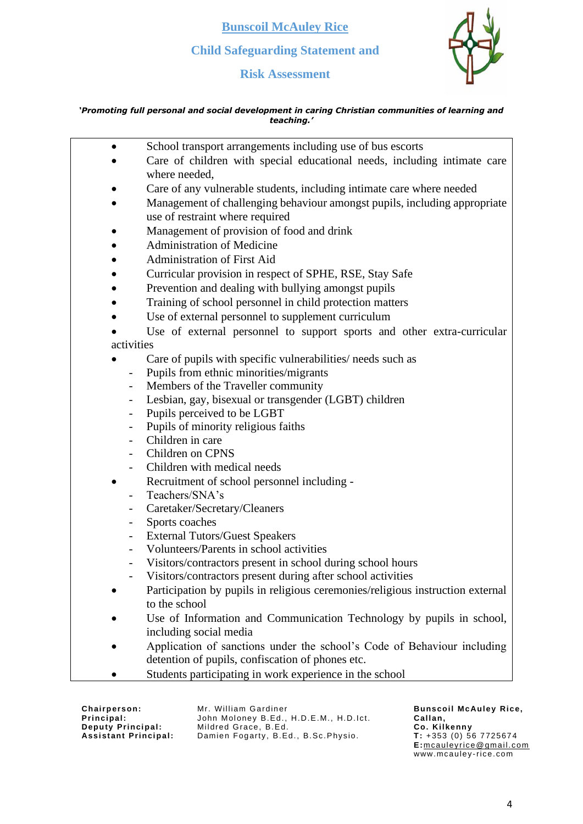**Bunscoil McAuley Rice**

# **Child Safeguarding Statement and**

**Risk Assessment**



### *'Promoting full personal and social development in caring Christian communities of learning and teaching.'*

| $\bullet$                    | School transport arrangements including use of bus escorts                     |
|------------------------------|--------------------------------------------------------------------------------|
|                              | Care of children with special educational needs, including intimate care       |
|                              | where needed,                                                                  |
|                              | Care of any vulnerable students, including intimate care where needed          |
|                              | Management of challenging behaviour amongst pupils, including appropriate      |
|                              | use of restraint where required                                                |
|                              | Management of provision of food and drink                                      |
|                              | <b>Administration of Medicine</b>                                              |
|                              | <b>Administration of First Aid</b>                                             |
|                              | Curricular provision in respect of SPHE, RSE, Stay Safe                        |
|                              | Prevention and dealing with bullying amongst pupils                            |
|                              | Training of school personnel in child protection matters                       |
|                              | Use of external personnel to supplement curriculum                             |
|                              | Use of external personnel to support sports and other extra-curricular         |
| activities                   |                                                                                |
|                              | Care of pupils with specific vulnerabilities/ needs such as                    |
| $\blacksquare$               | Pupils from ethnic minorities/migrants                                         |
| $\overline{\phantom{a}}$     | Members of the Traveller community                                             |
|                              | Lesbian, gay, bisexual or transgender (LGBT) children                          |
| $\qquad \qquad \blacksquare$ | Pupils perceived to be LGBT                                                    |
| $\qquad \qquad \blacksquare$ | Pupils of minority religious faiths                                            |
|                              | Children in care                                                               |
|                              | Children on CPNS                                                               |
| $\overline{\phantom{a}}$     | Children with medical needs                                                    |
|                              | Recruitment of school personnel including -                                    |
|                              | Teachers/SNA's                                                                 |
| $\blacksquare$               | Caretaker/Secretary/Cleaners                                                   |
| $\qquad \qquad \blacksquare$ | Sports coaches                                                                 |
| $\overline{\phantom{a}}$     | <b>External Tutors/Guest Speakers</b>                                          |
| $\overline{\phantom{a}}$     | Volunteers/Parents in school activities                                        |
|                              | Visitors/contractors present in school during school hours                     |
|                              | Visitors/contractors present during after school activities                    |
|                              | Participation by pupils in religious ceremonies/religious instruction external |
|                              | to the school                                                                  |
|                              | Use of Information and Communication Technology by pupils in school,           |
|                              | including social media                                                         |
|                              | Application of sanctions under the school's Code of Behaviour including        |
|                              | detention of pupils, confiscation of phones etc.                               |
|                              | Students participating in work experience in the school                        |

**Chairperson: Principal: Deputy Principal: Assi stant Principal:** Mr. William Gardiner John Moloney B.Ed., H.D.E.M., H.D.Ict. Mildred Grace, B.Ed. Damien Fogarty, B.Ed., B.Sc.Physio.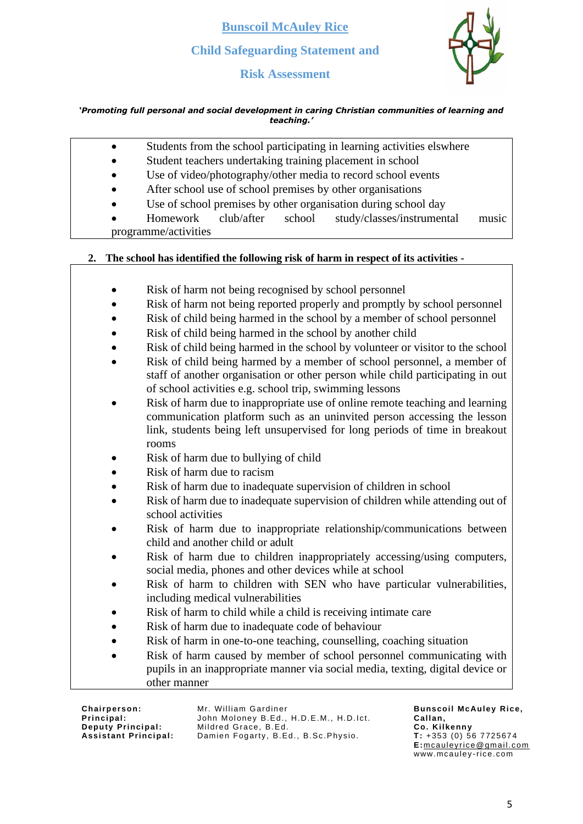**Risk Assessment**



### *'Promoting full personal and social development in caring Christian communities of learning and teaching.'*

|    | Students from the school participating in learning activities elswhere              |
|----|-------------------------------------------------------------------------------------|
|    | Student teachers undertaking training placement in school                           |
|    | Use of video/photography/other media to record school events                        |
|    | After school use of school premises by other organisations                          |
|    | Use of school premises by other organisation during school day                      |
|    | club/after<br>school<br>study/classes/instrumental<br>Homework<br>music             |
|    | programme/activities                                                                |
|    |                                                                                     |
| 2. | The school has identified the following risk of harm in respect of its activities - |
|    |                                                                                     |
|    | Risk of harm not being recognised by school personnel                               |
|    | Risk of harm not being reported properly and promptly by school personnel           |
|    | Risk of child being harmed in the school by a member of school personnel            |
|    | Risk of child being harmed in the school by another child                           |
|    | Risk of child being harmed in the school by volunteer or visitor to the school      |
|    | Risk of child being harmed by a member of school personnel, a member of             |
|    | staff of another organisation or other person while child participating in out      |
|    | of school activities e.g. school trip, swimming lessons                             |
|    | Risk of harm due to inappropriate use of online remote teaching and learning        |
|    | communication platform such as an uninvited person accessing the lesson             |
|    | link, students being left unsupervised for long periods of time in breakout         |
|    | rooms                                                                               |
|    | Risk of harm due to bullying of child                                               |
|    | Risk of harm due to racism                                                          |
|    | Risk of harm due to inadequate supervision of children in school                    |
|    | Risk of harm due to inadequate supervision of children while attending out of       |
|    | school activities                                                                   |
|    | Risk of harm due to inappropriate relationship/communications between               |
|    | child and another child or adult                                                    |
|    | Risk of harm due to children inappropriately accessing/using computers,             |
|    | social media, phones and other devices while at school                              |
|    | Risk of harm to children with SEN who have particular vulnerabilities,              |
|    | including medical vulnerabilities                                                   |
|    | Risk of harm to child while a child is receiving intimate care                      |
|    | Risk of harm due to inadequate code of behaviour                                    |
|    | Risk of harm in one-to-one teaching, counselling, coaching situation                |
|    | Risk of harm caused by member of school personnel communicating with                |
|    | pupils in an inappropriate manner via social media, texting, digital device or      |
|    | other manner                                                                        |

**Chairperson: Principal: Deputy Principal: Assi stant Principal:** Mr. William Gardiner John Moloney B.Ed., H.D.E.M., H.D.Ict. Mildred Grace, B.Ed. Damien Fogarty, B.Ed., B.Sc.Physio.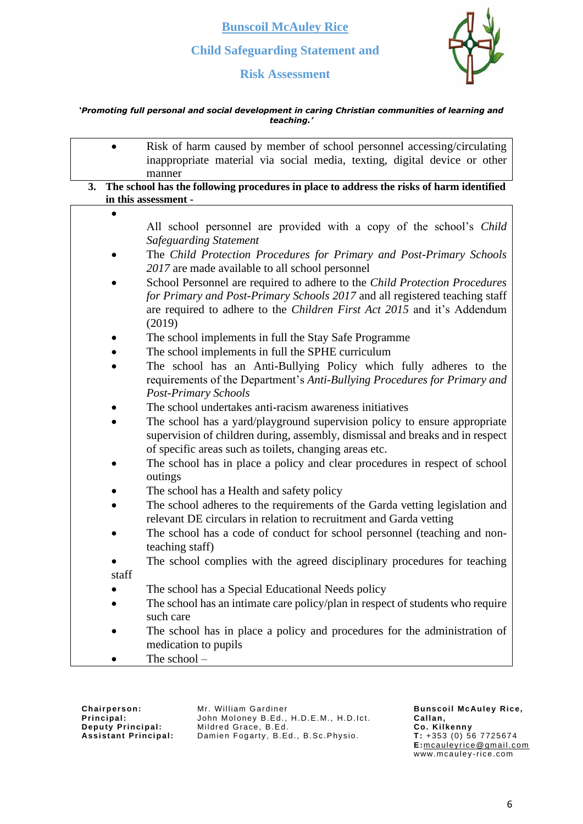**Risk Assessment**



### *'Promoting full personal and social development in caring Christian communities of learning and teaching.'*

|    | Risk of harm caused by member of school personnel accessing/circulating<br>inappropriate material via social media, texting, digital device or other                                                                                                                            |
|----|---------------------------------------------------------------------------------------------------------------------------------------------------------------------------------------------------------------------------------------------------------------------------------|
|    | manner                                                                                                                                                                                                                                                                          |
| 3. | The school has the following procedures in place to address the risks of harm identified                                                                                                                                                                                        |
|    | in this assessment -                                                                                                                                                                                                                                                            |
|    | All school personnel are provided with a copy of the school's Child<br><b>Safeguarding Statement</b>                                                                                                                                                                            |
|    | The Child Protection Procedures for Primary and Post-Primary Schools<br>2017 are made available to all school personnel                                                                                                                                                         |
|    | School Personnel are required to adhere to the Child Protection Procedures<br>for Primary and Post-Primary Schools 2017 and all registered teaching staff<br>are required to adhere to the <i>Children First Act 2015</i> and it's Addendum<br>(2019)                           |
|    | The school implements in full the Stay Safe Programme<br>The school implements in full the SPHE curriculum                                                                                                                                                                      |
|    | The school has an Anti-Bullying Policy which fully adheres to the<br>requirements of the Department's Anti-Bullying Procedures for Primary and<br><b>Post-Primary Schools</b>                                                                                                   |
|    | The school undertakes anti-racism awareness initiatives<br>The school has a yard/playground supervision policy to ensure appropriate<br>supervision of children during, assembly, dismissal and breaks and in respect<br>of specific areas such as toilets, changing areas etc. |
|    | The school has in place a policy and clear procedures in respect of school<br>outings                                                                                                                                                                                           |
|    | The school has a Health and safety policy                                                                                                                                                                                                                                       |
|    | The school adheres to the requirements of the Garda vetting legislation and<br>relevant DE circulars in relation to recruitment and Garda vetting                                                                                                                               |
|    | The school has a code of conduct for school personnel (teaching and non-<br>teaching staff)                                                                                                                                                                                     |
|    | The school complies with the agreed disciplinary procedures for teaching<br>staff                                                                                                                                                                                               |
|    | The school has a Special Educational Needs policy                                                                                                                                                                                                                               |
|    | The school has an intimate care policy/plan in respect of students who require<br>such care                                                                                                                                                                                     |
|    | The school has in place a policy and procedures for the administration of<br>medication to pupils                                                                                                                                                                               |
|    | The school-                                                                                                                                                                                                                                                                     |

**Chairperson: Principal: Deputy Principal: Assi stant Principal:** Mr. William Gardiner John Moloney B.Ed., H.D.E.M., H.D.Ict. Mildred Grace, B.Ed. Damien Fogarty, B.Ed., B.Sc.Physio.